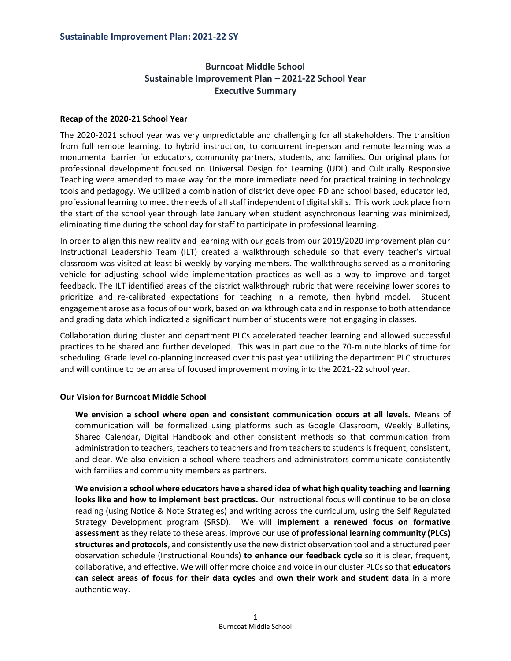# **Burncoat Middle School Sustainable Improvement Plan – 2021-22 School Year Executive Summary**

## **Recap of the 2020-21 School Year**

The 2020-2021 school year was very unpredictable and challenging for all stakeholders. The transition from full remote learning, to hybrid instruction, to concurrent in-person and remote learning was a monumental barrier for educators, community partners, students, and families. Our original plans for professional development focused on Universal Design for Learning (UDL) and Culturally Responsive Teaching were amended to make way for the more immediate need for practical training in technology tools and pedagogy. We utilized a combination of district developed PD and school based, educator led, professional learning to meet the needs of all staff independent of digital skills. This work took place from the start of the school year through late January when student asynchronous learning was minimized, eliminating time during the school day for staff to participate in professional learning.

In order to align this new reality and learning with our goals from our 2019/2020 improvement plan our Instructional Leadership Team (ILT) created a walkthrough schedule so that every teacher's virtual classroom was visited at least bi-weekly by varying members. The walkthroughs served as a monitoring vehicle for adjusting school wide implementation practices as well as a way to improve and target feedback. The ILT identified areas of the district walkthrough rubric that were receiving lower scores to prioritize and re-calibrated expectations for teaching in a remote, then hybrid model. Student engagement arose as a focus of our work, based on walkthrough data and in response to both attendance and grading data which indicated a significant number of students were not engaging in classes.

Collaboration during cluster and department PLCs accelerated teacher learning and allowed successful practices to be shared and further developed. This was in part due to the 70-minute blocks of time for scheduling. Grade level co-planning increased over this past year utilizing the department PLC structures and will continue to be an area of focused improvement moving into the 2021-22 school year.

## **Our Vision for Burncoat Middle School**

**We envision a school where open and consistent communication occurs at all levels.** Means of communication will be formalized using platforms such as Google Classroom, Weekly Bulletins, Shared Calendar, Digital Handbook and other consistent methods so that communication from administration to teachers, teachers to teachers and from teachers to students is frequent, consistent, and clear. We also envision a school where teachers and administrators communicate consistently with families and community members as partners.

**We envision a school where educators have a shared idea of what high quality teaching and learning looks like and how to implement best practices.** Our instructional focus will continue to be on close reading (using Notice & Note Strategies) and writing across the curriculum, using the Self Regulated Strategy Development program (SRSD). We will **implement a renewed focus on formative assessment** as they relate to these areas, improve our use of **professional learning community (PLCs) structures and protocols**, and consistently use the new district observation tool and a structured peer observation schedule (Instructional Rounds) **to enhance our feedback cycle** so it is clear, frequent, collaborative, and effective. We will offer more choice and voice in our cluster PLCs so that **educators can select areas of focus for their data cycles** and **own their work and student data** in a more authentic way.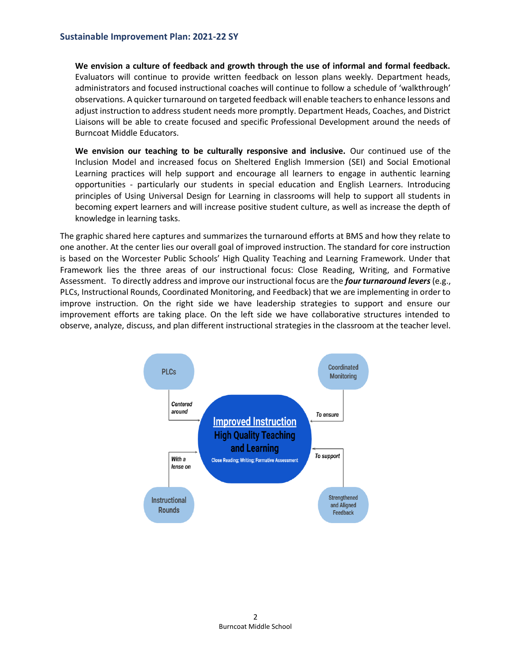**We envision a culture of feedback and growth through the use of informal and formal feedback.**  Evaluators will continue to provide written feedback on lesson plans weekly. Department heads, administrators and focused instructional coaches will continue to follow a schedule of 'walkthrough' observations. A quicker turnaround on targeted feedback will enable teachers to enhance lessons and adjust instruction to address student needs more promptly. Department Heads, Coaches, and District Liaisons will be able to create focused and specific Professional Development around the needs of Burncoat Middle Educators.

**We envision our teaching to be culturally responsive and inclusive.** Our continued use of the Inclusion Model and increased focus on Sheltered English Immersion (SEI) and Social Emotional Learning practices will help support and encourage all learners to engage in authentic learning opportunities - particularly our students in special education and English Learners. Introducing principles of Using Universal Design for Learning in classrooms will help to support all students in becoming expert learners and will increase positive student culture, as well as increase the depth of knowledge in learning tasks.

The graphic shared here captures and summarizes the turnaround efforts at BMS and how they relate to one another. At the center lies our overall goal of improved instruction. The standard for core instruction is based on the Worcester Public Schools' High Quality Teaching and Learning Framework. Under that Framework lies the three areas of our instructional focus: Close Reading, Writing, and Formative Assessment. To directly address and improve our instructional focus are the *four turnaround levers* (e.g., PLCs, Instructional Rounds, Coordinated Monitoring, and Feedback) that we are implementing in order to improve instruction. On the right side we have leadership strategies to support and ensure our improvement efforts are taking place. On the left side we have collaborative structures intended to observe, analyze, discuss, and plan different instructional strategies in the classroom at the teacher level.

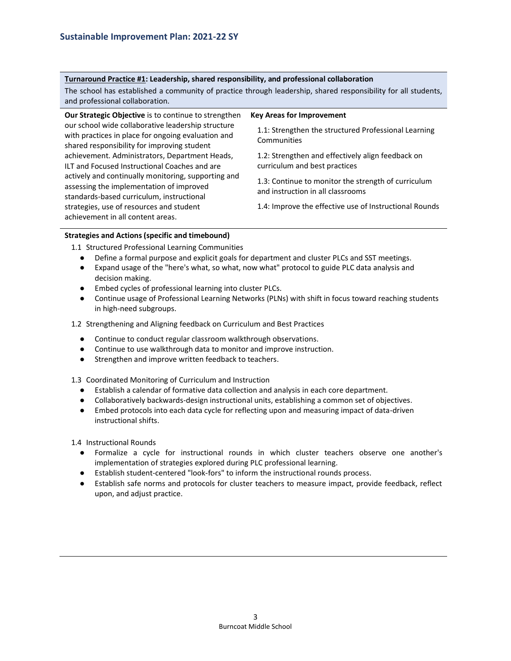#### **Turnaround Practice #1: Leadership, shared responsibility, and professional collaboration**

The school has established a community of practice through leadership, shared responsibility for all students, and professional collaboration.

| Our Strategic Objective is to continue to strengthen                                                                                                    | <b>Key Areas for Improvement</b>                                                         |
|---------------------------------------------------------------------------------------------------------------------------------------------------------|------------------------------------------------------------------------------------------|
| our school wide collaborative leadership structure<br>with practices in place for ongoing evaluation and<br>shared responsibility for improving student | 1.1: Strengthen the structured Professional Learning<br>Communities                      |
| achievement. Administrators, Department Heads,<br>ILT and Focused Instructional Coaches and are                                                         | 1.2: Strengthen and effectively align feedback on<br>curriculum and best practices       |
| actively and continually monitoring, supporting and<br>assessing the implementation of improved<br>standards-based curriculum, instructional            | 1.3: Continue to monitor the strength of curriculum<br>and instruction in all classrooms |
| strategies, use of resources and student<br>achievement in all content areas.                                                                           | 1.4: Improve the effective use of Instructional Rounds                                   |

#### **Strategies and Actions (specific and timebound)**

1.1 Structured Professional Learning Communities

- Define a formal purpose and explicit goals for department and cluster PLCs and SST meetings.
- Expand usage of the "here's what, so what, now what" protocol to guide PLC data analysis and decision making.
- Embed cycles of professional learning into cluster PLCs.
- Continue usage of Professional Learning Networks (PLNs) with shift in focus toward reaching students in high-need subgroups.

1.2 Strengthening and Aligning feedback on Curriculum and Best Practices

- Continue to conduct regular classroom walkthrough observations.
- Continue to use walkthrough data to monitor and improve instruction.
- Strengthen and improve written feedback to teachers.

1.3 Coordinated Monitoring of Curriculum and Instruction

- Establish a calendar of formative data collection and analysis in each core department.
- Collaboratively backwards-design instructional units, establishing a common set of objectives.
- Embed protocols into each data cycle for reflecting upon and measuring impact of data-driven instructional shifts.

1.4 Instructional Rounds

- Formalize a cycle for instructional rounds in which cluster teachers observe one another's implementation of strategies explored during PLC professional learning.
- Establish student-centered "look-fors" to inform the instructional rounds process.
- Establish safe norms and protocols for cluster teachers to measure impact, provide feedback, reflect upon, and adjust practice.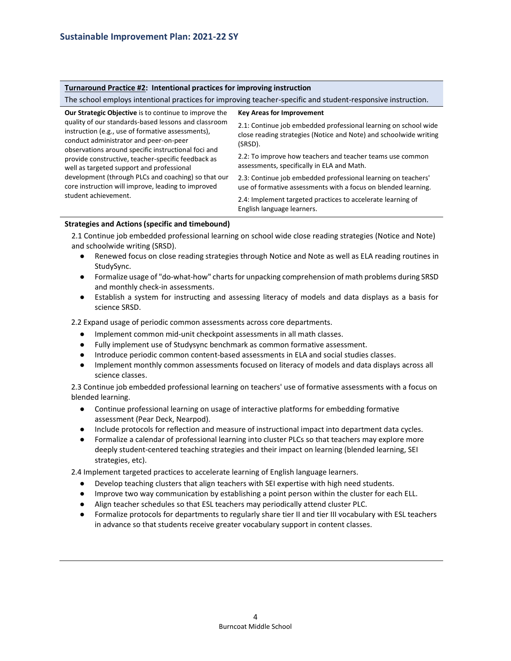#### **Turnaround Practice #2: Intentional practices for improving instruction**

The school employs intentional practices for improving teacher-specific and student-responsive instruction.

| <b>Our Strategic Objective</b> is to continue to improve the<br>quality of our standards-based lessons and classroom<br>instruction (e.g., use of formative assessments),<br>conduct administrator and peer-on-peer<br>observations around specific instructional foci and<br>provide constructive, teacher-specific feedback as<br>well as targeted support and professional<br>development (through PLCs and coaching) so that our<br>core instruction will improve, leading to improved<br>student achievement. | <b>Key Areas for Improvement</b>                                                                                                                |
|--------------------------------------------------------------------------------------------------------------------------------------------------------------------------------------------------------------------------------------------------------------------------------------------------------------------------------------------------------------------------------------------------------------------------------------------------------------------------------------------------------------------|-------------------------------------------------------------------------------------------------------------------------------------------------|
|                                                                                                                                                                                                                                                                                                                                                                                                                                                                                                                    | 2.1: Continue job embedded professional learning on school wide<br>close reading strategies (Notice and Note) and schoolwide writing<br>(SRSD). |
|                                                                                                                                                                                                                                                                                                                                                                                                                                                                                                                    | 2.2: To improve how teachers and teacher teams use common<br>assessments, specifically in ELA and Math.                                         |
|                                                                                                                                                                                                                                                                                                                                                                                                                                                                                                                    | 2.3: Continue job embedded professional learning on teachers'<br>use of formative assessments with a focus on blended learning.                 |
|                                                                                                                                                                                                                                                                                                                                                                                                                                                                                                                    | 2.4: Implement targeted practices to accelerate learning of<br>English language learners.                                                       |

#### **Strategies and Actions (specific and timebound)**

2.1 Continue job embedded professional learning on school wide close reading strategies (Notice and Note) and schoolwide writing (SRSD).

- Renewed focus on close reading strategies through Notice and Note as well as ELA reading routines in StudySync.
- Formalize usage of "do-what-how" charts for unpacking comprehension of math problems during SRSD and monthly check-in assessments.
- Establish a system for instructing and assessing literacy of models and data displays as a basis for science SRSD.

2.2 Expand usage of periodic common assessments across core departments.

- Implement common mid-unit checkpoint assessments in all math classes.
- Fully implement use of Studysync benchmark as common formative assessment.
- Introduce periodic common content-based assessments in ELA and social studies classes.
- Implement monthly common assessments focused on literacy of models and data displays across all science classes.

2.3 Continue job embedded professional learning on teachers' use of formative assessments with a focus on blended learning.

- Continue professional learning on usage of interactive platforms for embedding formative assessment (Pear Deck, Nearpod).
- Include protocols for reflection and measure of instructional impact into department data cycles.
- Formalize a calendar of professional learning into cluster PLCs so that teachers may explore more deeply student-centered teaching strategies and their impact on learning (blended learning, SEI strategies, etc).

2.4 Implement targeted practices to accelerate learning of English language learners.

- Develop teaching clusters that align teachers with SEI expertise with high need students.
- Improve two way communication by establishing a point person within the cluster for each ELL.
- Align teacher schedules so that ESL teachers may periodically attend cluster PLC.
- Formalize protocols for departments to regularly share tier II and tier III vocabulary with ESL teachers in advance so that students receive greater vocabulary support in content classes.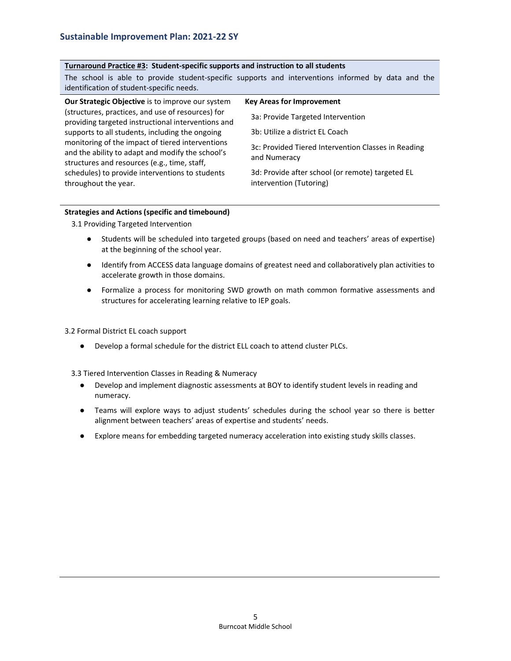## **Turnaround Practice #3: Student-specific supports and instruction to all students**

|                                                         | The school is able to provide student-specific supports and interventions informed by data and the |
|---------------------------------------------------------|----------------------------------------------------------------------------------------------------|
| identification of student-specific needs.               |                                                                                                    |
| <b>Our Strategic Objective</b> is to improve our system | <b>Key Areas for Improvement</b>                                                                   |
| (structures, practices, and use of resources) for       | 3a: Provide Targeted Intervention                                                                  |
| providing targeted instructional interventions and      |                                                                                                    |

providing targeted instructional interventions and supports to all students, including the ongoing monitoring of the impact of tiered interventions and the ability to adapt and modify the school's structures and resources (e.g., time, staff, schedules) to provide interventions to students throughout the year.

3c: Provided Tiered Intervention Classes in Reading and Numeracy

3d: Provide after school (or remote) targeted EL intervention (Tutoring)

3b: Utilize a district EL Coach

## **Strategies and Actions (specific and timebound)**

3.1 Providing Targeted Intervention

- Students will be scheduled into targeted groups (based on need and teachers' areas of expertise) at the beginning of the school year.
- Identify from ACCESS data language domains of greatest need and collaboratively plan activities to accelerate growth in those domains.
- Formalize a process for monitoring SWD growth on math common formative assessments and structures for accelerating learning relative to IEP goals.

## 3.2 Formal District EL coach support

● Develop a formal schedule for the district ELL coach to attend cluster PLCs.

3.3 Tiered Intervention Classes in Reading & Numeracy

- Develop and implement diagnostic assessments at BOY to identify student levels in reading and numeracy.
- Teams will explore ways to adjust students' schedules during the school year so there is better alignment between teachers' areas of expertise and students' needs.
- Explore means for embedding targeted numeracy acceleration into existing study skills classes.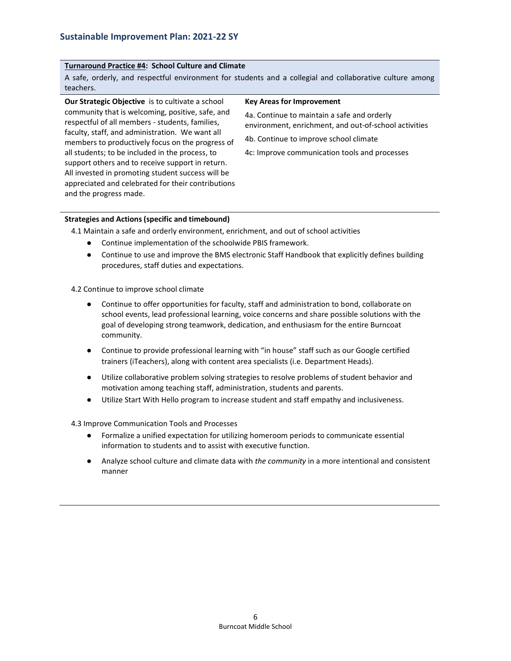## **Turnaround Practice #4: School Culture and Climate**

A safe, orderly, and respectful environment for students and a collegial and collaborative culture among teachers.

**Our Strategic Objective** is to cultivate a school community that is welcoming, positive, safe, and respectful of all members - students, families, faculty, staff, and administration. We want all members to productively focus on the progress of all students; to be included in the process, to support others and to receive support in return. All invested in promoting student success will be appreciated and celebrated for their contributions and the progress made.

#### **Key Areas for Improvement**

4a. Continue to maintain a safe and orderly environment, enrichment, and out-of-school activities

4b. Continue to improve school climate

4c: Improve communication tools and processes

#### **Strategies and Actions (specific and timebound)**

4.1 Maintain a safe and orderly environment, enrichment, and out of school activities

- Continue implementation of the schoolwide PBIS framework.
- Continue to use and improve the BMS electronic Staff Handbook that explicitly defines building procedures, staff duties and expectations.

4.2 Continue to improve school climate

- Continue to offer opportunities for faculty, staff and administration to bond, collaborate on school events, lead professional learning, voice concerns and share possible solutions with the goal of developing strong teamwork, dedication, and enthusiasm for the entire Burncoat community.
- Continue to provide professional learning with "in house" staff such as our Google certified trainers (iTeachers), along with content area specialists (i.e. Department Heads).
- Utilize collaborative problem solving strategies to resolve problems of student behavior and motivation among teaching staff, administration, students and parents.
- Utilize Start With Hello program to increase student and staff empathy and inclusiveness.

4.3 Improve Communication Tools and Processes

- Formalize a unified expectation for utilizing homeroom periods to communicate essential information to students and to assist with executive function.
- Analyze school culture and climate data with *the community* in a more intentional and consistent manner